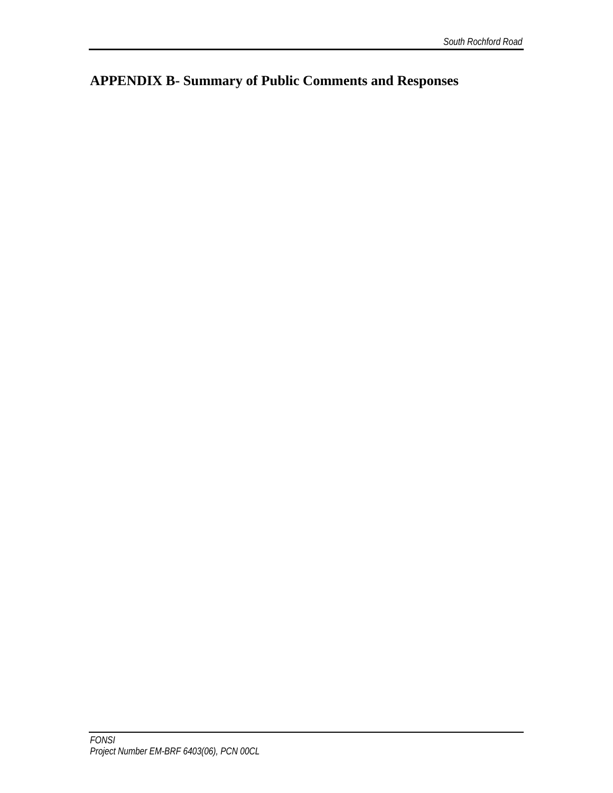**APPENDIX B- Summary of Public Comments and Responses**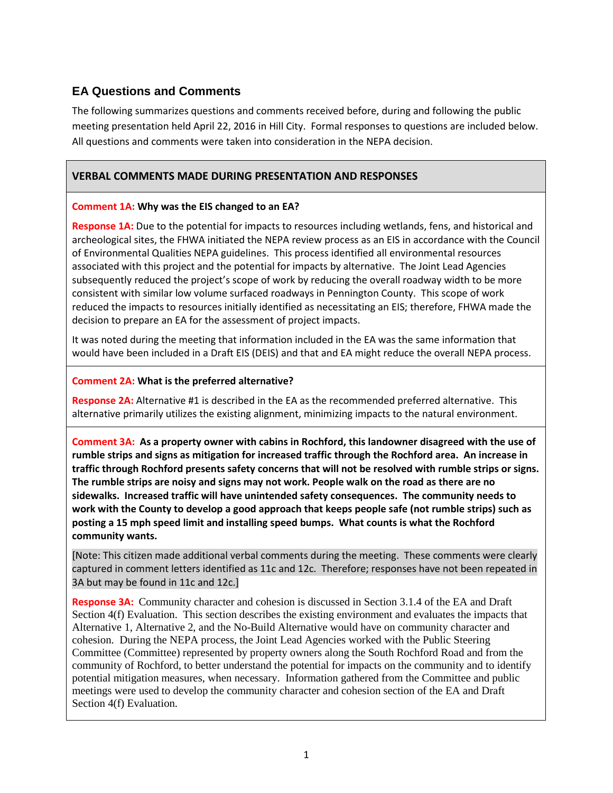# **EA Questions and Comments**

The following summarizes questions and comments received before, during and following the public meeting presentation held April 22, 2016 in Hill City. Formal responses to questions are included below. All questions and comments were taken into consideration in the NEPA decision.

# **VERBAL COMMENTS MADE DURING PRESENTATION AND RESPONSES**

# **Comment 1A: Why was the EIS changed to an EA?**

**Response 1A:** Due to the potential for impacts to resources including wetlands, fens, and historical and archeological sites, the FHWA initiated the NEPA review process as an EIS in accordance with the Council of Environmental Qualities NEPA guidelines. This process identified all environmental resources associated with this project and the potential for impacts by alternative. The Joint Lead Agencies subsequently reduced the project's scope of work by reducing the overall roadway width to be more consistent with similar low volume surfaced roadways in Pennington County. This scope of work reduced the impacts to resources initially identified as necessitating an EIS; therefore, FHWA made the decision to prepare an EA for the assessment of project impacts.

It was noted during the meeting that information included in the EA was the same information that would have been included in a Draft EIS (DEIS) and that and EA might reduce the overall NEPA process.

# **Comment 2A: What is the preferred alternative?**

**Response 2A:** Alternative #1 is described in the EA as the recommended preferred alternative. This alternative primarily utilizes the existing alignment, minimizing impacts to the natural environment.

**Comment 3A: As a property owner with cabins in Rochford, this landowner disagreed with the use of rumble strips and signs as mitigation for increased traffic through the Rochford area. An increase in traffic through Rochford presents safety concerns that will not be resolved with rumble strips or signs. The rumble strips are noisy and signs may not work. People walk on the road as there are no sidewalks. Increased traffic will have unintended safety consequences. The community needs to work with the County to develop a good approach that keeps people safe (not rumble strips) such as posting a 15 mph speed limit and installing speed bumps. What counts is what the Rochford community wants.**

[Note: This citizen made additional verbal comments during the meeting. These comments were clearly captured in comment letters identified as 11c and 12c. Therefore; responses have not been repeated in 3A but may be found in 11c and 12c.]

**Response 3A:** Community character and cohesion is discussed in Section 3.1.4 of the EA and Draft Section 4(f) Evaluation. This section describes the existing environment and evaluates the impacts that Alternative 1, Alternative 2, and the No-Build Alternative would have on community character and cohesion. During the NEPA process, the Joint Lead Agencies worked with the Public Steering Committee (Committee) represented by property owners along the South Rochford Road and from the community of Rochford, to better understand the potential for impacts on the community and to identify potential mitigation measures, when necessary. Information gathered from the Committee and public meetings were used to develop the community character and cohesion section of the EA and Draft Section 4(f) Evaluation.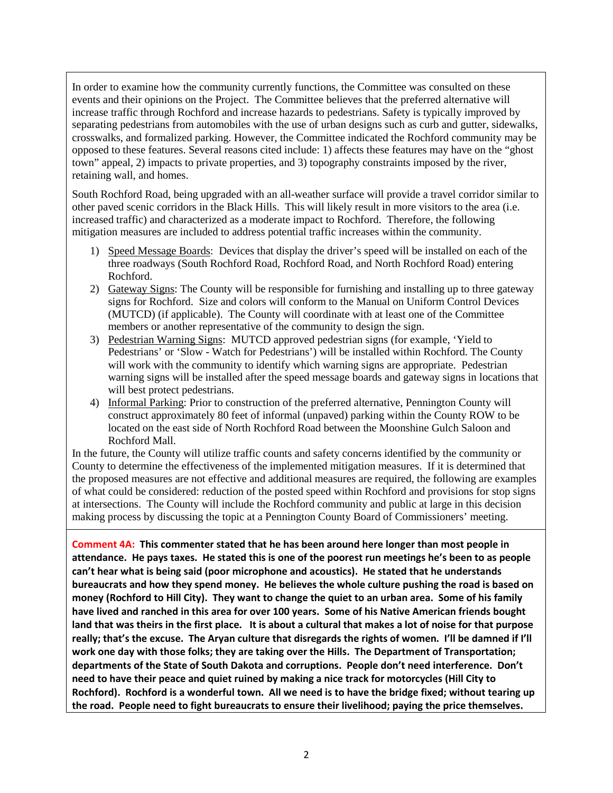In order to examine how the community currently functions, the Committee was consulted on these events and their opinions on the Project. The Committee believes that the preferred alternative will increase traffic through Rochford and increase hazards to pedestrians. Safety is typically improved by separating pedestrians from automobiles with the use of urban designs such as curb and gutter, sidewalks, crosswalks, and formalized parking. However, the Committee indicated the Rochford community may be opposed to these features. Several reasons cited include: 1) affects these features may have on the "ghost town" appeal, 2) impacts to private properties, and 3) topography constraints imposed by the river, retaining wall, and homes.

South Rochford Road, being upgraded with an all-weather surface will provide a travel corridor similar to other paved scenic corridors in the Black Hills. This will likely result in more visitors to the area (i.e. increased traffic) and characterized as a moderate impact to Rochford. Therefore, the following mitigation measures are included to address potential traffic increases within the community.

- 1) Speed Message Boards: Devices that display the driver's speed will be installed on each of the three roadways (South Rochford Road, Rochford Road, and North Rochford Road) entering Rochford.
- 2) Gateway Signs: The County will be responsible for furnishing and installing up to three gateway signs for Rochford. Size and colors will conform to the Manual on Uniform Control Devices (MUTCD) (if applicable). The County will coordinate with at least one of the Committee members or another representative of the community to design the sign.
- 3) Pedestrian Warning Signs: MUTCD approved pedestrian signs (for example, 'Yield to Pedestrians' or 'Slow - Watch for Pedestrians') will be installed within Rochford. The County will work with the community to identify which warning signs are appropriate. Pedestrian warning signs will be installed after the speed message boards and gateway signs in locations that will best protect pedestrians.
- 4) Informal Parking: Prior to construction of the preferred alternative, Pennington County will construct approximately 80 feet of informal (unpaved) parking within the County ROW to be located on the east side of North Rochford Road between the Moonshine Gulch Saloon and Rochford Mall.

In the future, the County will utilize traffic counts and safety concerns identified by the community or County to determine the effectiveness of the implemented mitigation measures. If it is determined that the proposed measures are not effective and additional measures are required, the following are examples of what could be considered: reduction of the posted speed within Rochford and provisions for stop signs at intersections. The County will include the Rochford community and public at large in this decision making process by discussing the topic at a Pennington County Board of Commissioners' meeting.

**Comment 4A: This commenter stated that he has been around here longer than most people in attendance. He pays taxes. He stated this is one of the poorest run meetings he's been to as people can't hear what is being said (poor microphone and acoustics). He stated that he understands bureaucrats and how they spend money. He believes the whole culture pushing the road is based on money (Rochford to Hill City). They want to change the quiet to an urban area. Some of his family have lived and ranched in this area for over 100 years. Some of his Native American friends bought land that was theirs in the first place. It is about a cultural that makes a lot of noise for that purpose really; that's the excuse. The Aryan culture that disregards the rights of women. I'll be damned if I'll work one day with those folks; they are taking over the Hills. The Department of Transportation; departments of the State of South Dakota and corruptions. People don't need interference. Don't need to have their peace and quiet ruined by making a nice track for motorcycles (Hill City to Rochford). Rochford is a wonderful town. All we need is to have the bridge fixed; without tearing up the road. People need to fight bureaucrats to ensure their livelihood; paying the price themselves.**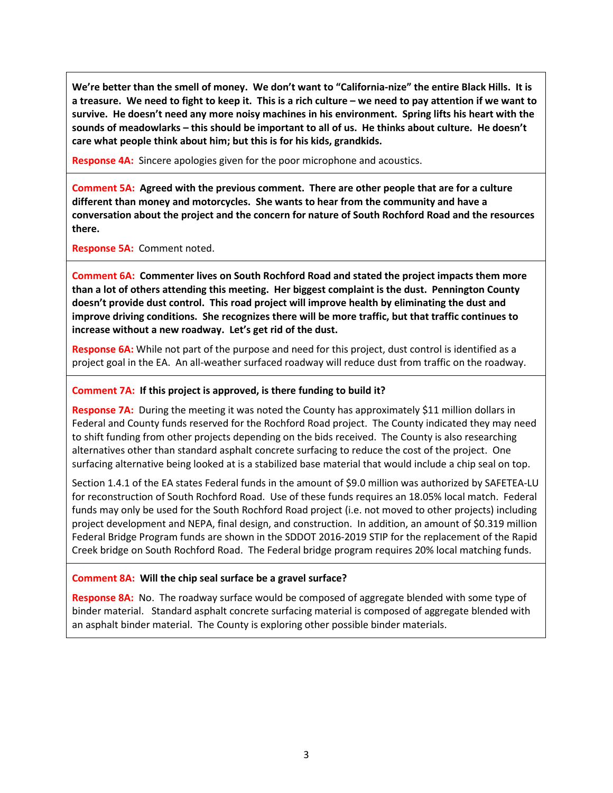**We're better than the smell of money. We don't want to "California-nize" the entire Black Hills. It is a treasure. We need to fight to keep it. This is a rich culture – we need to pay attention if we want to survive. He doesn't need any more noisy machines in his environment. Spring lifts his heart with the sounds of meadowlarks – this should be important to all of us. He thinks about culture. He doesn't care what people think about him; but this is for his kids, grandkids.** 

**Response 4A:** Sincere apologies given for the poor microphone and acoustics.

**Comment 5A: Agreed with the previous comment. There are other people that are for a culture different than money and motorcycles. She wants to hear from the community and have a conversation about the project and the concern for nature of South Rochford Road and the resources there.** 

**Response 5A:** Comment noted.

**Comment 6A: Commenter lives on South Rochford Road and stated the project impacts them more than a lot of others attending this meeting. Her biggest complaint is the dust. Pennington County doesn't provide dust control. This road project will improve health by eliminating the dust and improve driving conditions. She recognizes there will be more traffic, but that traffic continues to increase without a new roadway. Let's get rid of the dust.** 

**Response 6A:** While not part of the purpose and need for this project, dust control is identified as a project goal in the EA. An all-weather surfaced roadway will reduce dust from traffic on the roadway.

# **Comment 7A: If this project is approved, is there funding to build it?**

**Response 7A:** During the meeting it was noted the County has approximately \$11 million dollars in Federal and County funds reserved for the Rochford Road project. The County indicated they may need to shift funding from other projects depending on the bids received. The County is also researching alternatives other than standard asphalt concrete surfacing to reduce the cost of the project. One surfacing alternative being looked at is a stabilized base material that would include a chip seal on top.

Section 1.4.1 of the EA states Federal funds in the amount of \$9.0 million was authorized by SAFETEA-LU for reconstruction of South Rochford Road. Use of these funds requires an 18.05% local match. Federal funds may only be used for the South Rochford Road project (i.e. not moved to other projects) including project development and NEPA, final design, and construction. In addition, an amount of \$0.319 million Federal Bridge Program funds are shown in the SDDOT 2016-2019 STIP for the replacement of the Rapid Creek bridge on South Rochford Road. The Federal bridge program requires 20% local matching funds.

# **Comment 8A: Will the chip seal surface be a gravel surface?**

**Response 8A:** No. The roadway surface would be composed of aggregate blended with some type of binder material. Standard asphalt concrete surfacing material is composed of aggregate blended with an asphalt binder material. The County is exploring other possible binder materials.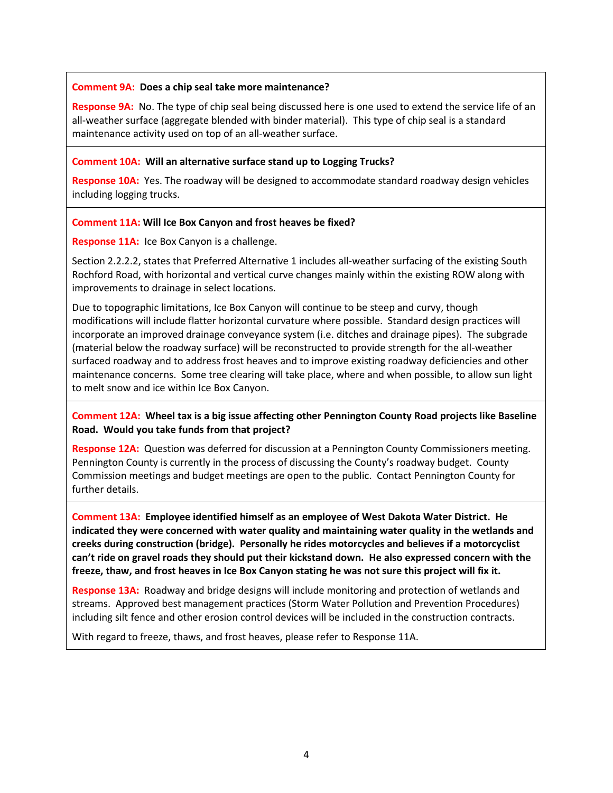## **Comment 9A: Does a chip seal take more maintenance?**

**Response 9A:** No. The type of chip seal being discussed here is one used to extend the service life of an all-weather surface (aggregate blended with binder material). This type of chip seal is a standard maintenance activity used on top of an all-weather surface.

## **Comment 10A: Will an alternative surface stand up to Logging Trucks?**

**Response 10A:** Yes. The roadway will be designed to accommodate standard roadway design vehicles including logging trucks.

## **Comment 11A: Will Ice Box Canyon and frost heaves be fixed?**

**Response 11A:** Ice Box Canyon is a challenge.

Section 2.2.2.2, states that Preferred Alternative 1 includes all-weather surfacing of the existing South Rochford Road, with horizontal and vertical curve changes mainly within the existing ROW along with improvements to drainage in select locations.

Due to topographic limitations, Ice Box Canyon will continue to be steep and curvy, though modifications will include flatter horizontal curvature where possible. Standard design practices will incorporate an improved drainage conveyance system (i.e. ditches and drainage pipes). The subgrade (material below the roadway surface) will be reconstructed to provide strength for the all-weather surfaced roadway and to address frost heaves and to improve existing roadway deficiencies and other maintenance concerns. Some tree clearing will take place, where and when possible, to allow sun light to melt snow and ice within Ice Box Canyon.

# **Comment 12A: Wheel tax is a big issue affecting other Pennington County Road projects like Baseline Road. Would you take funds from that project?**

**Response 12A:** Question was deferred for discussion at a Pennington County Commissioners meeting. Pennington County is currently in the process of discussing the County's roadway budget. County Commission meetings and budget meetings are open to the public. Contact Pennington County for further details.

**Comment 13A: Employee identified himself as an employee of West Dakota Water District. He indicated they were concerned with water quality and maintaining water quality in the wetlands and creeks during construction (bridge). Personally he rides motorcycles and believes if a motorcyclist can't ride on gravel roads they should put their kickstand down. He also expressed concern with the freeze, thaw, and frost heaves in Ice Box Canyon stating he was not sure this project will fix it.** 

**Response 13A:** Roadway and bridge designs will include monitoring and protection of wetlands and streams. Approved best management practices (Storm Water Pollution and Prevention Procedures) including silt fence and other erosion control devices will be included in the construction contracts.

With regard to freeze, thaws, and frost heaves, please refer to Response 11A.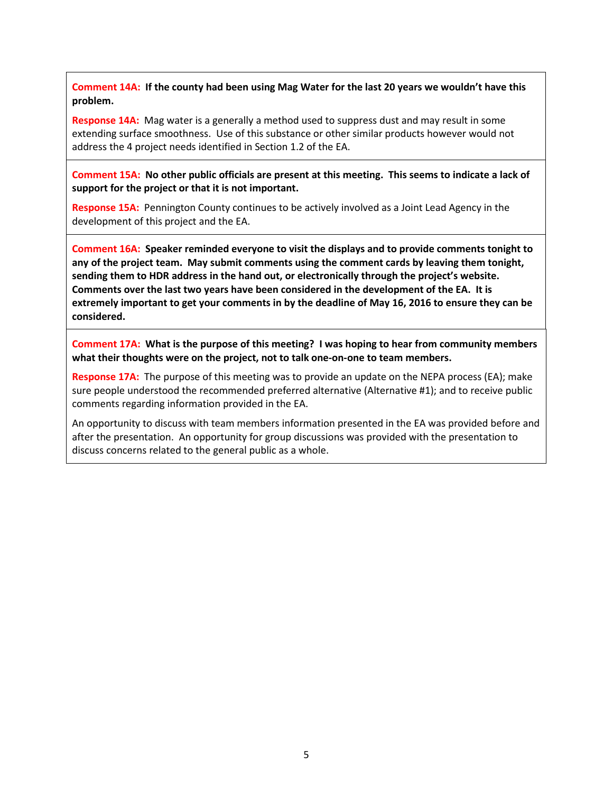**Comment 14A: If the county had been using Mag Water for the last 20 years we wouldn't have this problem.**

**Response 14A:** Mag water is a generally a method used to suppress dust and may result in some extending surface smoothness. Use of this substance or other similar products however would not address the 4 project needs identified in Section 1.2 of the EA.

**Comment 15A: No other public officials are present at this meeting. This seems to indicate a lack of support for the project or that it is not important.** 

**Response 15A:** Pennington County continues to be actively involved as a Joint Lead Agency in the development of this project and the EA.

**Comment 16A: Speaker reminded everyone to visit the displays and to provide comments tonight to any of the project team. May submit comments using the comment cards by leaving them tonight, sending them to HDR address in the hand out, or electronically through the project's website. Comments over the last two years have been considered in the development of the EA. It is extremely important to get your comments in by the deadline of May 16, 2016 to ensure they can be considered.** 

**Comment 17A: What is the purpose of this meeting? I was hoping to hear from community members what their thoughts were on the project, not to talk one-on-one to team members.** 

**Response 17A:** The purpose of this meeting was to provide an update on the NEPA process (EA); make sure people understood the recommended preferred alternative (Alternative #1); and to receive public comments regarding information provided in the EA.

An opportunity to discuss with team members information presented in the EA was provided before and after the presentation. An opportunity for group discussions was provided with the presentation to discuss concerns related to the general public as a whole.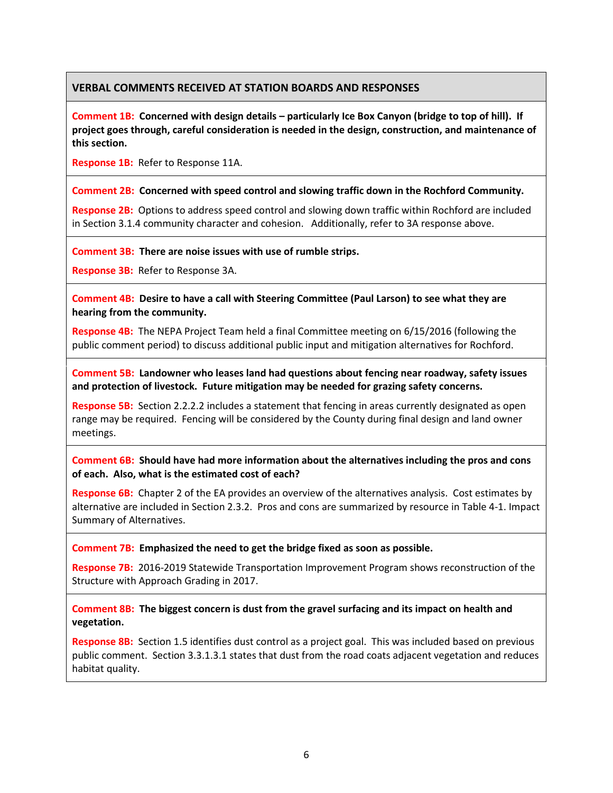# **VERBAL COMMENTS RECEIVED AT STATION BOARDS AND RESPONSES**

**Comment 1B: Concerned with design details – particularly Ice Box Canyon (bridge to top of hill). If project goes through, careful consideration is needed in the design, construction, and maintenance of this section.** 

**Response 1B:** Refer to Response 11A.

## **Comment 2B: Concerned with speed control and slowing traffic down in the Rochford Community.**

**Response 2B:** Options to address speed control and slowing down traffic within Rochford are included in Section 3.1.4 community character and cohesion. Additionally, refer to 3A response above.

**Comment 3B: There are noise issues with use of rumble strips.** 

**Response 3B:** Refer to Response 3A.

**Comment 4B: Desire to have a call with Steering Committee (Paul Larson) to see what they are hearing from the community.**

**Response 4B:** The NEPA Project Team held a final Committee meeting on 6/15/2016 (following the public comment period) to discuss additional public input and mitigation alternatives for Rochford.

**Comment 5B: Landowner who leases land had questions about fencing near roadway, safety issues and protection of livestock. Future mitigation may be needed for grazing safety concerns.**

**Response 5B:** Section 2.2.2.2 includes a statement that fencing in areas currently designated as open range may be required. Fencing will be considered by the County during final design and land owner meetings.

**Comment 6B: Should have had more information about the alternatives including the pros and cons of each. Also, what is the estimated cost of each?**

**Response 6B:** Chapter 2 of the EA provides an overview of the alternatives analysis. Cost estimates by alternative are included in Section 2.3.2. Pros and cons are summarized by resource in Table 4-1. Impact Summary of Alternatives.

### **Comment 7B: Emphasized the need to get the bridge fixed as soon as possible.**

**Response 7B:** 2016-2019 Statewide Transportation Improvement Program shows reconstruction of the Structure with Approach Grading in 2017.

**Comment 8B: The biggest concern is dust from the gravel surfacing and its impact on health and vegetation.** 

**Response 8B:** Section 1.5 identifies dust control as a project goal. This was included based on previous public comment. Section 3.3.1.3.1 states that dust from the road coats adjacent vegetation and reduces habitat quality.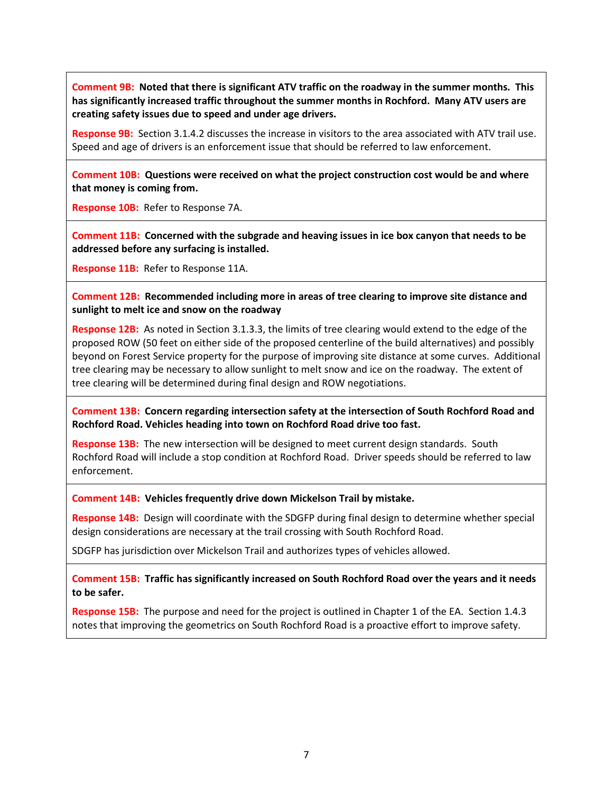**Comment 9B: Noted that there is significant ATV traffic on the roadway in the summer months. This has significantly increased traffic throughout the summer months in Rochford. Many ATV users are creating safety issues due to speed and under age drivers.** 

**Response 9B:** Section 3.1.4.2 discusses the increase in visitors to the area associated with ATV trail use. Speed and age of drivers is an enforcement issue that should be referred to law enforcement.

**Comment 10B: Questions were received on what the project construction cost would be and where that money is coming from.**

**Response 10B:** Refer to Response 7A.

**Comment 11B: Concerned with the subgrade and heaving issues in ice box canyon that needs to be addressed before any surfacing is installed.** 

**Response 11B:** Refer to Response 11A.

**Comment 12B: Recommended including more in areas of tree clearing to improve site distance and sunlight to melt ice and snow on the roadway**

**Response 12B:** As noted in Section 3.1.3.3, the limits of tree clearing would extend to the edge of the proposed ROW (50 feet on either side of the proposed centerline of the build alternatives) and possibly beyond on Forest Service property for the purpose of improving site distance at some curves. Additional tree clearing may be necessary to allow sunlight to melt snow and ice on the roadway. The extent of tree clearing will be determined during final design and ROW negotiations.

**Comment 13B: Concern regarding intersection safety at the intersection of South Rochford Road and Rochford Road. Vehicles heading into town on Rochford Road drive too fast.**

**Response 13B:** The new intersection will be designed to meet current design standards. South Rochford Road will include a stop condition at Rochford Road. Driver speeds should be referred to law enforcement.

**Comment 14B: Vehicles frequently drive down Mickelson Trail by mistake.**

**Response 14B:** Design will coordinate with the SDGFP during final design to determine whether special design considerations are necessary at the trail crossing with South Rochford Road.

SDGFP has jurisdiction over Mickelson Trail and authorizes types of vehicles allowed.

**Comment 15B: Traffic has significantly increased on South Rochford Road over the years and it needs to be safer.** 

**Response 15B:** The purpose and need for the project is outlined in Chapter 1 of the EA. Section 1.4.3 notes that improving the geometrics on South Rochford Road is a proactive effort to improve safety.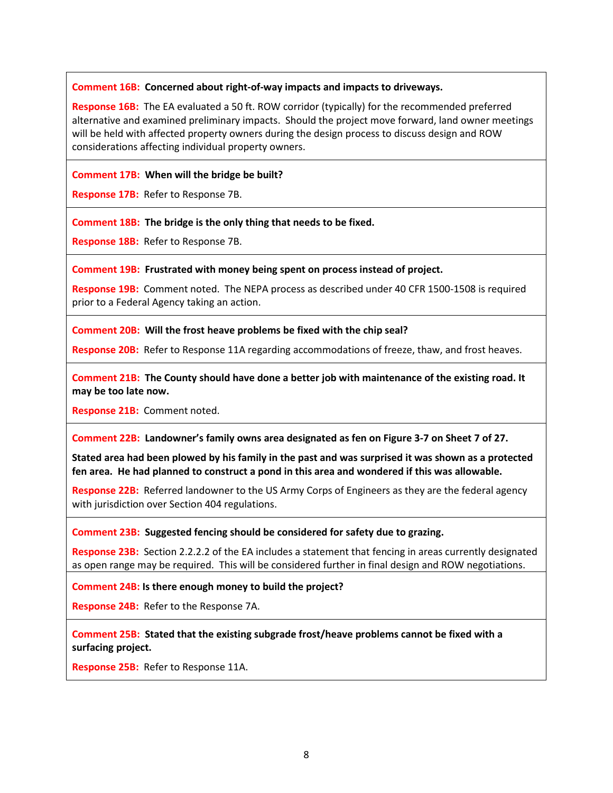## **Comment 16B: Concerned about right-of-way impacts and impacts to driveways.**

**Response 16B:** The EA evaluated a 50 ft. ROW corridor (typically) for the recommended preferred alternative and examined preliminary impacts. Should the project move forward, land owner meetings will be held with affected property owners during the design process to discuss design and ROW considerations affecting individual property owners.

## **Comment 17B: When will the bridge be built?**

**Response 17B:** Refer to Response 7B.

**Comment 18B: The bridge is the only thing that needs to be fixed.**

**Response 18B:** Refer to Response 7B.

**Comment 19B: Frustrated with money being spent on process instead of project.**

**Response 19B:** Comment noted. The NEPA process as described under 40 CFR 1500-1508 is required prior to a Federal Agency taking an action.

**Comment 20B: Will the frost heave problems be fixed with the chip seal?**

**Response 20B:** Refer to Response 11A regarding accommodations of freeze, thaw, and frost heaves.

**Comment 21B: The County should have done a better job with maintenance of the existing road. It may be too late now.** 

**Response 21B:** Comment noted.

**Comment 22B: Landowner's family owns area designated as fen on Figure 3-7 on Sheet 7 of 27.** 

**Stated area had been plowed by his family in the past and was surprised it was shown as a protected fen area. He had planned to construct a pond in this area and wondered if this was allowable.**

**Response 22B:** Referred landowner to the US Army Corps of Engineers as they are the federal agency with jurisdiction over Section 404 regulations.

**Comment 23B: Suggested fencing should be considered for safety due to grazing.**

**Response 23B:** Section 2.2.2.2 of the EA includes a statement that fencing in areas currently designated as open range may be required. This will be considered further in final design and ROW negotiations.

**Comment 24B: Is there enough money to build the project?**

**Response 24B:** Refer to the Response 7A.

**Comment 25B: Stated that the existing subgrade frost/heave problems cannot be fixed with a surfacing project.** 

**Response 25B:** Refer to Response 11A.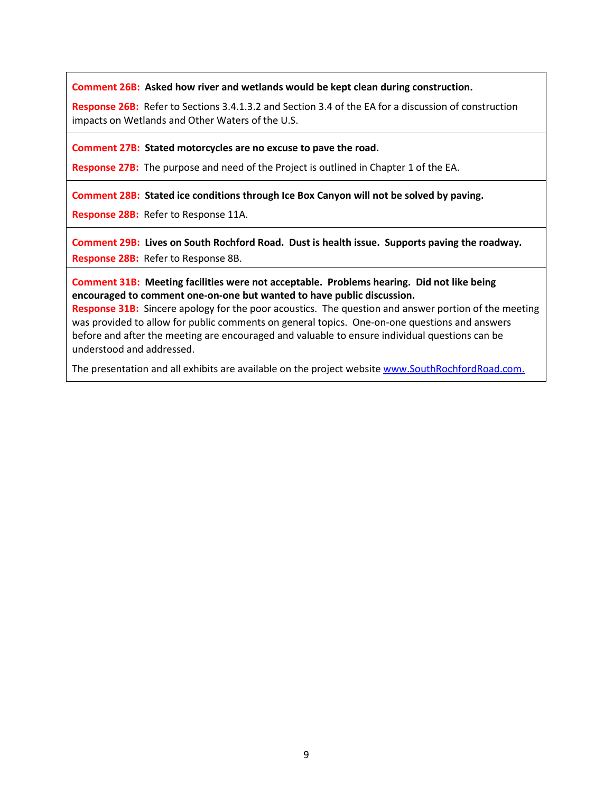**Comment 26B: Asked how river and wetlands would be kept clean during construction.**

**Response 26B:** Refer to Sections 3.4.1.3.2 and Section 3.4 of the EA for a discussion of construction impacts on Wetlands and Other Waters of the U.S.

**Comment 27B: Stated motorcycles are no excuse to pave the road.**

**Response 27B:** The purpose and need of the Project is outlined in Chapter 1 of the EA.

**Comment 28B: Stated ice conditions through Ice Box Canyon will not be solved by paving.**

**Response 28B:** Refer to Response 11A.

**Comment 29B: Lives on South Rochford Road. Dust is health issue. Supports paving the roadway. Response 28B:** Refer to Response 8B.

**Comment 31B: Meeting facilities were not acceptable. Problems hearing. Did not like being encouraged to comment one-on-one but wanted to have public discussion.**

**Response 31B:** Sincere apology for the poor acoustics. The question and answer portion of the meeting was provided to allow for public comments on general topics. One-on-one questions and answers before and after the meeting are encouraged and valuable to ensure individual questions can be understood and addressed.

The presentation and all exhibits are available on the project website [www.SouthRochfordRoad.com.](http://www.southrochfordroad.com/)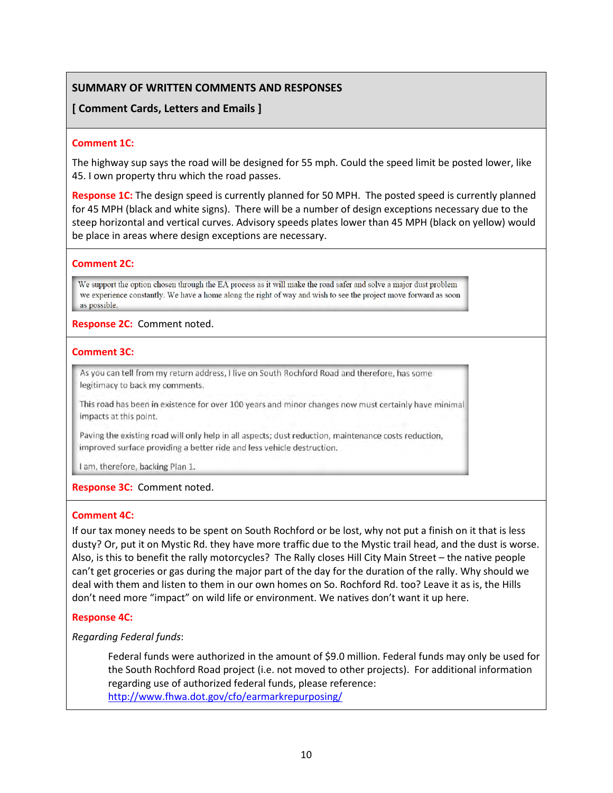# **SUMMARY OF WRITTEN COMMENTS AND RESPONSES**

# **[ Comment Cards, Letters and Emails ]**

### **Comment 1C:**

The highway sup says the road will be designed for 55 mph. Could the speed limit be posted lower, like 45. I own property thru which the road passes.

**Response 1C:** The design speed is currently planned for 50 MPH. The posted speed is currently planned for 45 MPH (black and white signs). There will be a number of design exceptions necessary due to the steep horizontal and vertical curves. Advisory speeds plates lower than 45 MPH (black on yellow) would be place in areas where design exceptions are necessary.

### **Comment 2C:**

We support the option chosen through the EA process as it will make the road safer and solve a major dust problem we experience constantly. We have a home along the right of way and wish to see the project move forward as soon as possible.

## **Response 2C:** Comment noted.

## **Comment 3C:**

As you can tell from my return address, I live on South Rochford Road and therefore, has some legitimacy to back my comments.

This road has been in existence for over 100 years and minor changes now must certainly have minimal impacts at this point.

Paving the existing road will only help in all aspects; dust reduction, maintenance costs reduction, improved surface providing a better ride and less vehicle destruction.

I am, therefore, backing Plan 1.

# **Response 3C:** Comment noted.

### **Comment 4C:**

If our tax money needs to be spent on South Rochford or be lost, why not put a finish on it that is less dusty? Or, put it on Mystic Rd. they have more traffic due to the Mystic trail head, and the dust is worse. Also, is this to benefit the rally motorcycles? The Rally closes Hill City Main Street – the native people can't get groceries or gas during the major part of the day for the duration of the rally. Why should we deal with them and listen to them in our own homes on So. Rochford Rd. too? Leave it as is, the Hills don't need more "impact" on wild life or environment. We natives don't want it up here.

### **Response 4C:**

*Regarding Federal funds*:

Federal funds were authorized in the amount of \$9.0 million. Federal funds may only be used for the South Rochford Road project (i.e. not moved to other projects). For additional information regarding use of authorized federal funds, please reference: <http://www.fhwa.dot.gov/cfo/earmarkrepurposing/>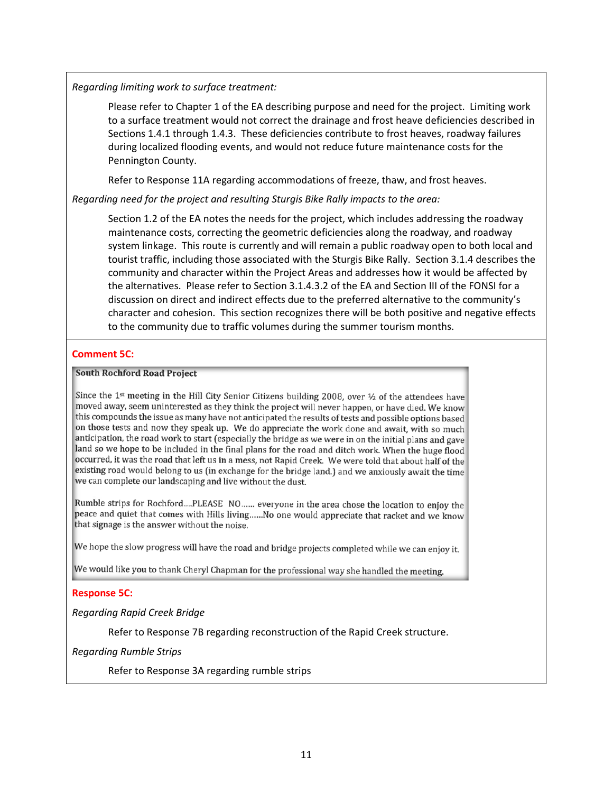*Regarding limiting work to surface treatment:*

Please refer to Chapter 1 of the EA describing purpose and need for the project. Limiting work to a surface treatment would not correct the drainage and frost heave deficiencies described in Sections 1.4.1 through 1.4.3. These deficiencies contribute to frost heaves, roadway failures during localized flooding events, and would not reduce future maintenance costs for the Pennington County.

Refer to Response 11A regarding accommodations of freeze, thaw, and frost heaves.

*Regarding need for the project and resulting Sturgis Bike Rally impacts to the area:* 

Section 1.2 of the EA notes the needs for the project, which includes addressing the roadway maintenance costs, correcting the geometric deficiencies along the roadway, and roadway system linkage. This route is currently and will remain a public roadway open to both local and tourist traffic, including those associated with the Sturgis Bike Rally. Section 3.1.4 describes the community and character within the Project Areas and addresses how it would be affected by the alternatives. Please refer to Section 3.1.4.3.2 of the EA and Section III of the FONSI for a discussion on direct and indirect effects due to the preferred alternative to the community's character and cohesion. This section recognizes there will be both positive and negative effects to the community due to traffic volumes during the summer tourism months.

## **Comment 5C:**

### **South Rochford Road Project**

Since the 1<sup>st</sup> meeting in the Hill City Senior Citizens building 2008, over 1/2 of the attendees have moved away, seem uninterested as they think the project will never happen, or have died. We know this compounds the issue as many have not anticipated the results of tests and possible options based on those tests and now they speak up. We do appreciate the work done and await, with so much anticipation, the road work to start (especially the bridge as we were in on the initial plans and gave land so we hope to be included in the final plans for the road and ditch work. When the huge flood occurred, it was the road that left us in a mess, not Rapid Creek. We were told that about half of the existing road would belong to us (in exchange for the bridge land.) and we anxiously await the time we can complete our landscaping and live without the dust.

Rumble strips for Rochford....PLEASE NO...... everyone in the area chose the location to enjoy the peace and quiet that comes with Hills living......No one would appreciate that racket and we know that signage is the answer without the noise.

We hope the slow progress will have the road and bridge projects completed while we can enjoy it.

We would like you to thank Cheryl Chapman for the professional way she handled the meeting.

### **Response 5C:**

*Regarding Rapid Creek Bridge*

Refer to Response 7B regarding reconstruction of the Rapid Creek structure.

*Regarding Rumble Strips*

Refer to Response 3A regarding rumble strips

 $\overline{\phantom{a}}$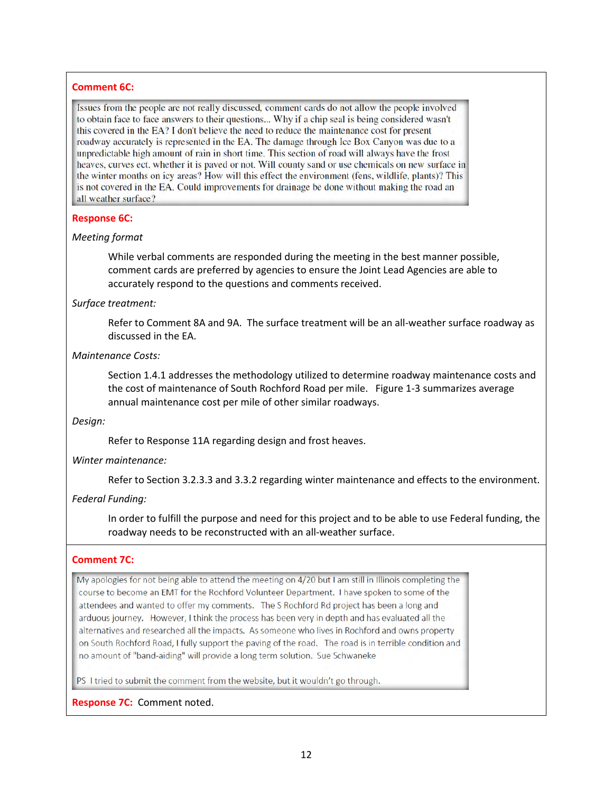## **Comment 6C:**

Issues from the people are not really discussed, comment cards do not allow the people involved to obtain face to face answers to their questions... Why if a chip seal is being considered wasn't this covered in the EA? I don't believe the need to reduce the maintenance cost for present roadway accurately is represented in the EA. The damage through Ice Box Canyon was due to a unpredictable high amount of rain in short time. This section of road will always have the frost heaves, curves ect. whether it is paved or not. Will county sand or use chemicals on new surface in the winter months on icy areas? How will this effect the environment (fens, wildlife, plants)? This is not covered in the EA. Could improvements for drainage be done without making the road an all weather surface?

## **Response 6C:**

## *Meeting format*

While verbal comments are responded during the meeting in the best manner possible, comment cards are preferred by agencies to ensure the Joint Lead Agencies are able to accurately respond to the questions and comments received.

## *Surface treatment:*

Refer to Comment 8A and 9A. The surface treatment will be an all-weather surface roadway as discussed in the EA.

## *Maintenance Costs:*

Section 1.4.1 addresses the methodology utilized to determine roadway maintenance costs and the cost of maintenance of South Rochford Road per mile. Figure 1-3 summarizes average annual maintenance cost per mile of other similar roadways.

### *Design:*

Refer to Response 11A regarding design and frost heaves.

# *Winter maintenance:*

Refer to Section 3.2.3.3 and 3.3.2 regarding winter maintenance and effects to the environment.

# *Federal Funding:*

In order to fulfill the purpose and need for this project and to be able to use Federal funding, the roadway needs to be reconstructed with an all-weather surface.

# **Comment 7C:**

My apologies for not being able to attend the meeting on 4/20 but I am still in Illinois completing the course to become an EMT for the Rochford Volunteer Department. I have spoken to some of the attendees and wanted to offer my comments. The S Rochford Rd project has been a long and arduous journey. However, I think the process has been very in depth and has evaluated all the alternatives and researched all the impacts. As someone who lives in Rochford and owns property on South Rochford Road, I fully support the paving of the road. The road is in terrible condition and no amount of "band-aiding" will provide a long term solution. Sue Schwaneke

PS I tried to submit the comment from the website, but it wouldn't go through.

# **Response 7C:** Comment noted.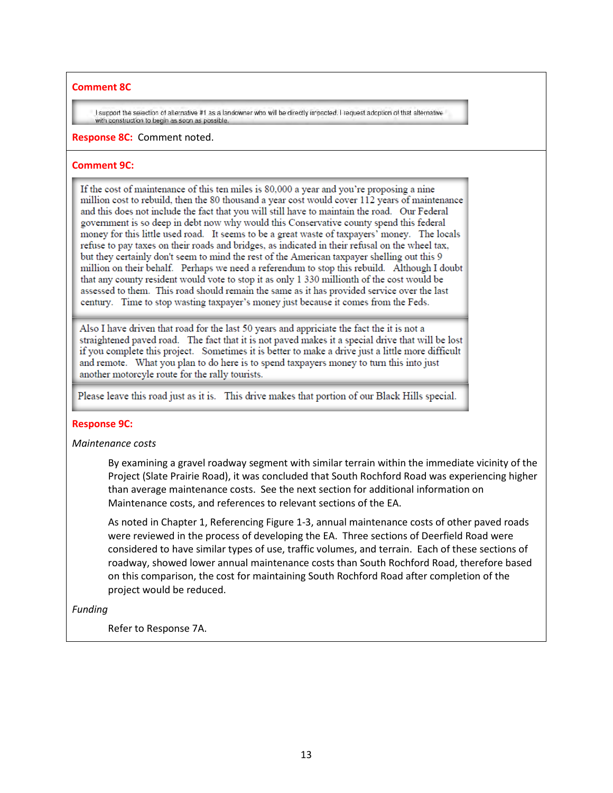## **Comment 8C**

I support the selection of alternative #1 as a landowner who will be directly impacted. I request adoption of that alternative with construction to begin as soon as possible

### **Response 8C:** Comment noted.

# **Comment 9C:**

If the cost of maintenance of this ten miles is 80,000 a year and you're proposing a nine million cost to rebuild, then the 80 thousand a year cost would cover 112 years of maintenance and this does not include the fact that you will still have to maintain the road. Our Federal government is so deep in debt now why would this Conservative county spend this federal money for this little used road. It seems to be a great waste of taxpayers' money. The locals refuse to pay taxes on their roads and bridges, as indicated in their refusal on the wheel tax, but they certainly don't seem to mind the rest of the American taxpayer shelling out this 9 million on their behalf. Perhaps we need a referendum to stop this rebuild. Although I doubt that any county resident would vote to stop it as only 1 330 millionth of the cost would be assessed to them. This road should remain the same as it has provided service over the last century. Time to stop wasting taxpayer's money just because it comes from the Feds.

Also I have driven that road for the last 50 years and appriciate the fact the it is not a straightened paved road. The fact that it is not paved makes it a special drive that will be lost if you complete this project. Sometimes it is better to make a drive just a little more difficult and remote. What you plan to do here is to spend taxpayers money to turn this into just another motorcyle route for the rally tourists.

Please leave this road just as it is. This drive makes that portion of our Black Hills special.

# **Response 9C:**

# *Maintenance costs*

By examining a gravel roadway segment with similar terrain within the immediate vicinity of the Project (Slate Prairie Road), it was concluded that South Rochford Road was experiencing higher than average maintenance costs. See the next section for additional information on Maintenance costs, and references to relevant sections of the EA.

As noted in Chapter 1, Referencing Figure 1-3, annual maintenance costs of other paved roads were reviewed in the process of developing the EA. Three sections of Deerfield Road were considered to have similar types of use, traffic volumes, and terrain. Each of these sections of roadway, showed lower annual maintenance costs than South Rochford Road, therefore based on this comparison, the cost for maintaining South Rochford Road after completion of the project would be reduced.

# *Funding*

Refer to Response 7A.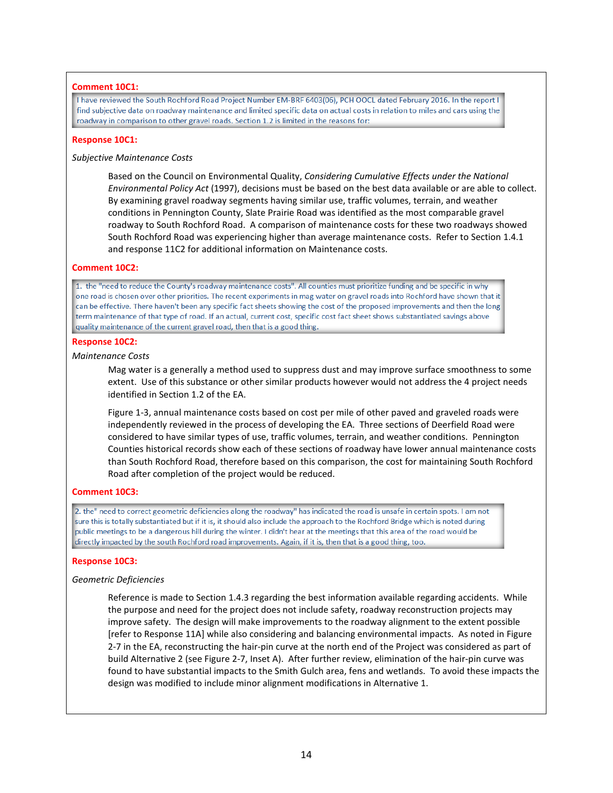### **Comment 10C1:**

I have reviewed the South Rochford Road Project Number EM-BRF 6403(06), PCH OOCL dated February 2016. In the report I find subjective data on roadway maintenance and limited specific data on actual costs in relation to miles and cars using the roadway in comparison to other gravel roads. Section 1.2 is limited in the reasons for:

#### **Response 10C1:**

#### *Subjective Maintenance Costs*

Based on the Council on Environmental Quality, *Considering Cumulative Effects under the National Environmental Policy Act* (1997), decisions must be based on the best data available or are able to collect. By examining gravel roadway segments having similar use, traffic volumes, terrain, and weather conditions in Pennington County, Slate Prairie Road was identified as the most comparable gravel roadway to South Rochford Road. A comparison of maintenance costs for these two roadways showed South Rochford Road was experiencing higher than average maintenance costs. Refer to Section 1.4.1 and response 11C2 for additional information on Maintenance costs.

### **Comment 10C2:**

1. the "need to reduce the County's roadway maintenance costs". All counties must prioritize funding and be specific in why one road is chosen over other priorities. The recent experiments in mag water on gravel roads into Rochford have shown that it can be effective. There haven't been any specific fact sheets showing the cost of the proposed improvements and then the long term maintenance of that type of road. If an actual, current cost, specific cost fact sheet shows substantiated savings above quality maintenance of the current gravel road, then that is a good thing.

#### **Response 10C2:**

#### *Maintenance Costs*

Mag water is a generally a method used to suppress dust and may improve surface smoothness to some extent. Use of this substance or other similar products however would not address the 4 project needs identified in Section 1.2 of the EA.

Figure 1-3, annual maintenance costs based on cost per mile of other paved and graveled roads were independently reviewed in the process of developing the EA. Three sections of Deerfield Road were considered to have similar types of use, traffic volumes, terrain, and weather conditions. Pennington Counties historical records show each of these sections of roadway have lower annual maintenance costs than South Rochford Road, therefore based on this comparison, the cost for maintaining South Rochford Road after completion of the project would be reduced.

### **Comment 10C3:**

2. the" need to correct geometric deficiencies along the roadway" has indicated the road is unsafe in certain spots. I am not sure this is totally substantiated but if it is, it should also include the approach to the Rochford Bridge which is noted during public meetings to be a dangerous hill during the winter. I didn't hear at the meetings that this area of the road would be directly impacted by the south Rochford road improvements. Again, if it is, then that is a good thing, too.

### **Response 10C3:**

### *Geometric Deficiencies*

Reference is made to Section 1.4.3 regarding the best information available regarding accidents. While the purpose and need for the project does not include safety, roadway reconstruction projects may improve safety. The design will make improvements to the roadway alignment to the extent possible [refer to Response 11A] while also considering and balancing environmental impacts. As noted in Figure 2-7 in the EA, reconstructing the hair-pin curve at the north end of the Project was considered as part of build Alternative 2 (see Figure 2-7, Inset A). After further review, elimination of the hair-pin curve was found to have substantial impacts to the Smith Gulch area, fens and wetlands. To avoid these impacts the design was modified to include minor alignment modifications in Alternative 1.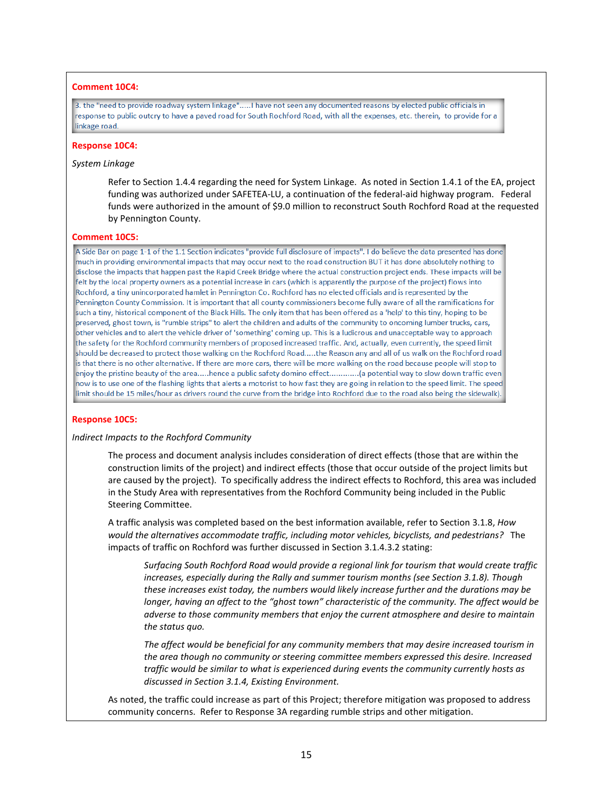### **Comment 10C4:**

3. the "need to provide roadway system linkage".....! have not seen any documented reasons by elected public officials in response to public outcry to have a paved road for South Rochford Road, with all the expenses, etc. therein, to provide for a linkage road.

#### **Response 10C4:**

### *System Linkage*

Refer to Section 1.4.4 regarding the need for System Linkage. As noted in Section 1.4.1 of the EA, project funding was authorized under SAFETEA-LU, a continuation of the federal-aid highway program. Federal funds were authorized in the amount of \$9.0 million to reconstruct South Rochford Road at the requested by Pennington County.

#### **Comment 10C5:**

A Side Bar on page 1-1 of the 1.1 Section indicates "provide full disclosure of impacts". I do believe the data presented has done much in providing environmental impacts that may occur next to the road construction BUT it has done absolutely nothing to disclose the impacts that happen past the Rapid Creek Bridge where the actual construction project ends. These impacts will be felt by the local property owners as a potential increase in cars (which is apparently the purpose of the project) flows into Rochford, a tiny unincorporated hamlet in Pennington Co. Rochford has no elected officials and is represented by the Pennington County Commission. It is important that all county commissioners become fully aware of all the ramifications for such a tiny, historical component of the Black Hills. The only item that has been offered as a 'help' to this tiny, hoping to be preserved, ghost town, is "rumble strips" to alert the children and adults of the community to oncoming lumber trucks, cars, other vehicles and to alert the vehicle driver of 'something' coming up. This is a ludicrous and unacceptable way to approach the safety for the Rochford community members of proposed increased traffic. And, actually, even currently, the speed limit should be decreased to protect those walking on the Rochford Road.....the Reason any and all of us walk on the Rochford road is that there is no other alternative. If there are more cars, there will be more walking on the road because people will stop to enjoy the pristine beauty of the area.....hence a public safety domino effect.............(a potential way to slow down traffic even now is to use one of the flashing lights that alerts a motorist to how fast they are going in relation to the speed limit. The speed limit should be 15 miles/hour as drivers round the curve from the bridge into Rochford due to the road also being the sidewalk).

### **Response 10C5:**

#### *Indirect Impacts to the Rochford Community*

The process and document analysis includes consideration of direct effects (those that are within the construction limits of the project) and indirect effects (those that occur outside of the project limits but are caused by the project). To specifically address the indirect effects to Rochford, this area was included in the Study Area with representatives from the Rochford Community being included in the Public Steering Committee.

A traffic analysis was completed based on the best information available, refer to Section 3.1.8, *How would the alternatives accommodate traffic, including motor vehicles, bicyclists, and pedestrians?* The impacts of traffic on Rochford was further discussed in Section 3.1.4.3.2 stating:

*Surfacing South Rochford Road would provide a regional link for tourism that would create traffic increases, especially during the Rally and summer tourism months (see Section 3.1.8). Though these increases exist today, the numbers would likely increase further and the durations may be longer, having an affect to the "ghost town" characteristic of the community. The affect would be adverse to those community members that enjoy the current atmosphere and desire to maintain the status quo.*

*The affect would be beneficial for any community members that may desire increased tourism in the area though no community or steering committee members expressed this desire. Increased traffic would be similar to what is experienced during events the community currently hosts as discussed in Section 3.1.4, Existing Environment.*

As noted, the traffic could increase as part of this Project; therefore mitigation was proposed to address community concerns. Refer to Response 3A regarding rumble strips and other mitigation.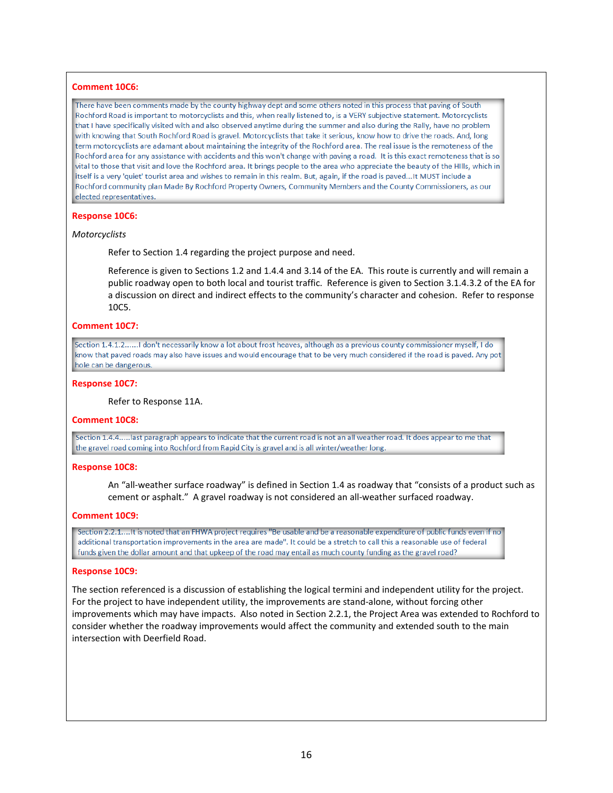#### **Comment 10C6:**

There have been comments made by the county highway dept and some others noted in this process that paving of South Rochford Road is important to motorcyclists and this, when really listened to, is a VERY subjective statement. Motorcyclists that I have specifically visited with and also observed anytime during the summer and also during the Rally, have no problem with knowing that South Rochford Road is gravel. Motorcyclists that take it serious, know how to drive the roads. And, long term motorcyclists are adamant about maintaining the integrity of the Rochford area. The real issue is the remoteness of the Rochford area for any assistance with accidents and this won't change with paving a road. It is this exact remoteness that is so vital to those that visit and love the Rochford area. It brings people to the area who appreciate the beauty of the HIIIs, which in itself is a very 'quiet' tourist area and wishes to remain in this realm. But, again, if the road is paved...It MUST include a Rochford community plan Made By Rochford Property Owners, Community Members and the County Commissioners, as our elected representatives.

#### **Response 10C6:**

#### *Motorcyclists*

Refer to Section 1.4 regarding the project purpose and need.

Reference is given to Sections 1.2 and 1.4.4 and 3.14 of the EA. This route is currently and will remain a public roadway open to both local and tourist traffic. Reference is given to Section 3.1.4.3.2 of the EA for a discussion on direct and indirect effects to the community's character and cohesion. Refer to response 10C5.

#### **Comment 10C7:**

Section 1.4.1.2......I don't necessarily know a lot about frost heaves, although as a previous county commissioner myself, I do know that paved roads may also have issues and would encourage that to be very much considered if the road is paved. Any pot hole can be dangerous.

#### **Response 10C7:**

Refer to Response 11A.

#### **Comment 10C8:**

Section 1.4.4.....last paragraph appears to indicate that the current road is not an all weather road. It does appear to me that the gravel road coming into Rochford from Rapid City is gravel and is all winter/weather long.

#### **Response 10C8:**

An "all-weather surface roadway" is defined in Section 1.4 as roadway that "consists of a product such as cement or asphalt." A gravel roadway is not considered an all-weather surfaced roadway.

#### **Comment 10C9:**

Section 2.2.1....It is noted that an FHWA project requires "Be usable and be a reasonable expenditure of public funds even if no additional transportation improvements in the area are made". It could be a stretch to call this a reasonable use of federal funds given the dollar amount and that upkeep of the road may entail as much county funding as the gravel road?

### **Response 10C9:**

The section referenced is a discussion of establishing the logical termini and independent utility for the project. For the project to have independent utility, the improvements are stand-alone, without forcing other improvements which may have impacts. Also noted in Section 2.2.1, the Project Area was extended to Rochford to consider whether the roadway improvements would affect the community and extended south to the main intersection with Deerfield Road.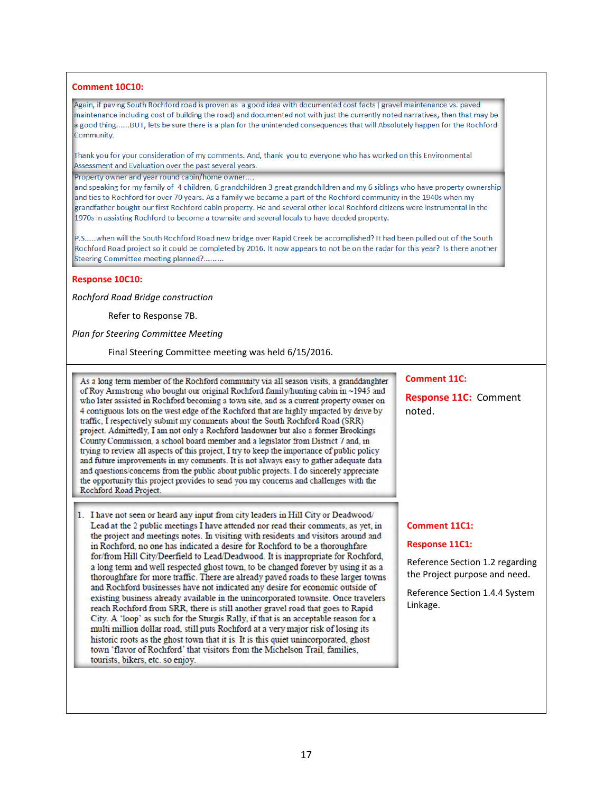### **Comment 10C10:**

Again, if paving South Rochford road is proven as a good idea with documented cost facts (gravel maintenance vs. paved maintenance including cost of building the road) and documented not with just the currently noted narratives, then that may be a good thing......BUT, lets be sure there is a plan for the unintended consequences that will Absolutely happen for the Rochford Community.

Thank you for your consideration of my comments. And, thank you to everyone who has worked on this Environmental Assessment and Evaluation over the past several years.

Property owner and year round cabin/home owner....

and speaking for my family of 4 children, 6 grandchildren 3 great grandchildren and my 6 siblings who have property ownership and ties to Rochford for over 70 years. As a family we became a part of the Rochford community in the 1940s when my grandfather bought our first Rochford cabin property. He and several other local Rochford citizens were instrumental in the 1970s in assisting Rochford to become a townsite and several locals to have deeded property.

P.S.....when will the South Rochford Road new bridge over Rapid Creek be accomplished? It had been pulled out of the South Rochford Road project so it could be completed by 2016. It now appears to not be on the radar for this year? Is there another Steering Committee meeting planned?........

### **Response 10C10:**

*Rochford Road Bridge construction*

Refer to Response 7B.

*Plan for Steering Committee Meeting*

Final Steering Committee meeting was held 6/15/2016.

As a long term member of the Rochford community via all season visits, a granddaughter of Roy Armstrong who bought our original Rochford family/hunting cabin in ~1945 and who later assisted in Rochford becoming a town site, and as a current property owner on 4 contiguous lots on the west edge of the Rochford that are highly impacted by drive by traffic, I respectively submit my comments about the South Rochford Road (SRR) project. Admittedly, I am not only a Rochford landowner but also a former Brookings County Commission, a school board member and a legislator from District 7 and, in trying to review all aspects of this project. I try to keep the importance of public policy and future improvements in my comments. It is not always easy to gather adequate data and questions/concerns from the public about public projects. I do sincerely appreciate the opportunity this project provides to send you my concerns and challenges with the Rochford Road Project.

1. I have not seen or heard any input from city leaders in Hill City or Deadwood/ Lead at the 2 public meetings I have attended nor read their comments, as yet, in the project and meetings notes. In visiting with residents and visitors around and in Rochford, no one has indicated a desire for Rochford to be a thoroughfare for/from Hill City/Deerfield to Lead/Deadwood. It is inappropriate for Rochford, a long term and well respected ghost town, to be changed forever by using it as a thoroughfare for more traffic. There are already payed roads to these larger towns and Rochford businesses have not indicated any desire for economic outside of existing business already available in the unincorporated townsite. Once travelers reach Rochford from SRR, there is still another gravel road that goes to Rapid City. A 'loop' as such for the Sturgis Rally, if that is an acceptable reason for a multi million dollar road, still puts Rochford at a very major risk of losing its historic roots as the ghost town that it is. It is this quiet unincorporated, ghost town 'flavor of Rochford' that visitors from the Michelson Trail, families, tourists, bikers, etc. so enjoy.

### **Comment 11C:**

**Response 11C:** Comment noted.

### **Comment 11C1:**

#### **Response 11C1:**

Reference Section 1.2 regarding the Project purpose and need.

Reference Section 1.4.4 System Linkage.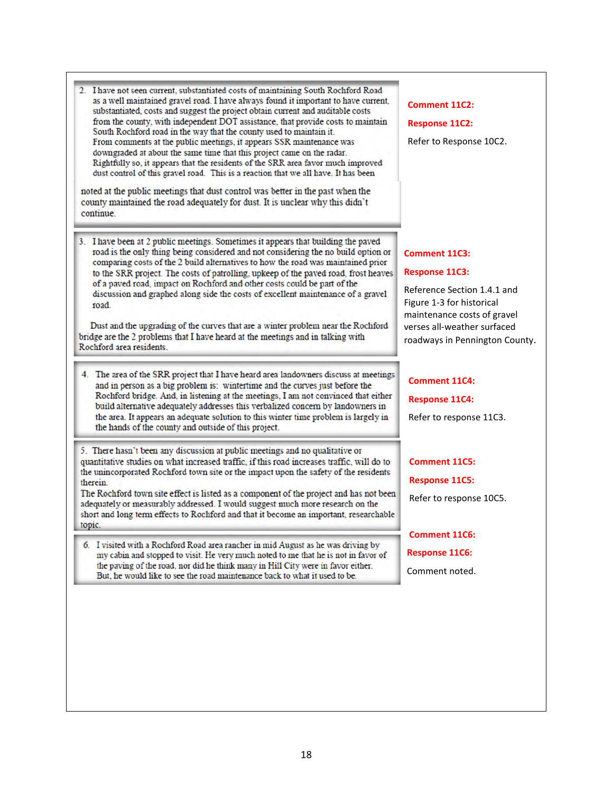| 2. I have not seen current, substantiated costs of maintaining South Rochford Road<br>as a well maintained gravel road. I have always found it important to have current,<br>substantiated, costs and suggest the project obtain current and auditable costs<br>from the county, with independent DOT assistance, that provide costs to maintain<br>South Rochford road in the way that the county used to maintain it.<br>From comments at the public meetings, it appears SSR maintenance was<br>downgraded at about the same time that this project came on the radar.<br>Rightfully so, it appears that the residents of the SRR area favor much improved<br>dust control of this gravel road. This is a reaction that we all have. It has been<br>noted at the public meetings that dust control was better in the past when the<br>county maintained the road adequately for dust. It is unclear why this didn't<br>continue | <b>Comment 11C2:</b><br><b>Response 11C2:</b><br>Refer to Response 10C2.                                                                                                                           |
|------------------------------------------------------------------------------------------------------------------------------------------------------------------------------------------------------------------------------------------------------------------------------------------------------------------------------------------------------------------------------------------------------------------------------------------------------------------------------------------------------------------------------------------------------------------------------------------------------------------------------------------------------------------------------------------------------------------------------------------------------------------------------------------------------------------------------------------------------------------------------------------------------------------------------------|----------------------------------------------------------------------------------------------------------------------------------------------------------------------------------------------------|
| 3. I have been at 2 public meetings. Sometimes it appears that building the paved<br>road is the only thing being considered and not considering the no build option or<br>comparing costs of the 2 build alternatives to how the road was maintained prior<br>to the SRR project. The costs of patrolling, upkeep of the paved road, frost heaves<br>of a paved road, impact on Rochford and other costs could be part of the<br>discussion and graphed along side the costs of excellent maintenance of a gravel<br>road.<br>Dust and the upgrading of the curves that are a winter problem near the Rochford<br>bridge are the 2 problems that I have heard at the meetings and in talking with<br>Rochford area residents.                                                                                                                                                                                                     | Comment 11C3:<br><b>Response 11C3:</b><br>Reference Section 1.4.1 and<br>Figure 1-3 for historical<br>maintenance costs of gravel<br>verses all-weather surfaced<br>roadways in Pennington County. |
| 4. The area of the SRR project that I have heard area landowners discuss at meetings<br>and in person as a big problem is: wintertime and the curves just before the<br>Rochford bridge. And, in listening at the meetings, I am not convinced that either<br>build alternative adequately addresses this verbalized concern by landowners in<br>the area. It appears an adequate solution to this winter time problem is largely in<br>the hands of the county and outside of this project.                                                                                                                                                                                                                                                                                                                                                                                                                                       | <b>Comment 11C4:</b><br><b>Response 11C4:</b><br>Refer to response 11C3.                                                                                                                           |
| 5. There hasn't been any discussion at public meetings and no qualitative or<br>quantitative studies on what increased traffic, if this road increases traffic, will do to<br>the unincorporated Rochford town site or the impact upon the safety of the residents<br>therein.<br>The Rochford town site effect is listed as a component of the project and has not been<br>adequately or measurably addressed. I would suggest much more research on the<br>short and long term effects to Rochford and that it become an important, researchable<br>topic.                                                                                                                                                                                                                                                                                                                                                                       | <b>Comment 11C5:</b><br><b>Response 11C5:</b><br>Refer to response 10C5.                                                                                                                           |
|                                                                                                                                                                                                                                                                                                                                                                                                                                                                                                                                                                                                                                                                                                                                                                                                                                                                                                                                    | <b>Comment 11C6:</b>                                                                                                                                                                               |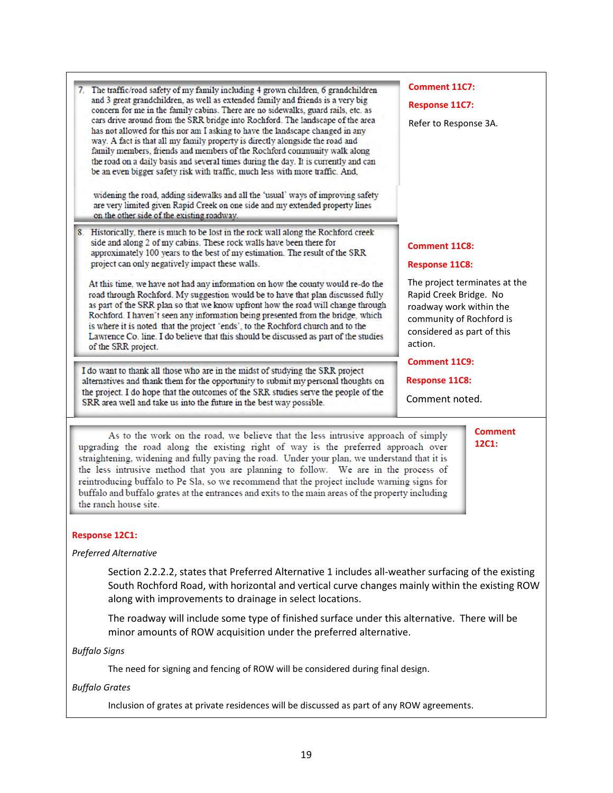| The traffic/road safety of my family including 4 grown children, 6 grandchildren<br>and 3 great grandchildren, as well as extended family and friends is a very big<br>concern for me in the family cabins. There are no sidewalks, guard rails, etc. as<br>cars drive around from the SRR bridge into Rochford. The landscape of the area<br>has not allowed for this nor am I asking to have the landscape changed in any<br>way. A fact is that all my family property is directly alongside the road and<br>family members, friends and members of the Rochford community walk along<br>the road on a daily basis and several times during the day. It is currently and can<br>be an even bigger safety risk with traffic, much less with more traffic. And,<br>widening the road, adding sidewalks and all the 'usual' ways of improving safety<br>are very limited given Rapid Creek on one side and my extended property lines<br>on the other side of the existing roadway. | <b>Comment 11C7:</b><br><b>Response 11C7:</b><br>Refer to Response 3A.<br><b>Comment 11C8:</b><br><b>Response 11C8:</b><br>The project terminates at the<br>Rapid Creek Bridge. No<br>roadway work within the<br>community of Rochford is<br>considered as part of this<br>action.<br><b>Comment 11C9:</b><br><b>Response 11C8:</b><br>Comment noted. |
|-------------------------------------------------------------------------------------------------------------------------------------------------------------------------------------------------------------------------------------------------------------------------------------------------------------------------------------------------------------------------------------------------------------------------------------------------------------------------------------------------------------------------------------------------------------------------------------------------------------------------------------------------------------------------------------------------------------------------------------------------------------------------------------------------------------------------------------------------------------------------------------------------------------------------------------------------------------------------------------|-------------------------------------------------------------------------------------------------------------------------------------------------------------------------------------------------------------------------------------------------------------------------------------------------------------------------------------------------------|
| Historically, there is much to be lost in the rock wall along the Rochford creek<br>8.<br>side and along 2 of my cabins. These rock walls have been there for<br>approximately 100 years to the best of my estimation. The result of the SRR<br>project can only negatively impact these walls.<br>At this time, we have not had any information on how the county would re-do the<br>road through Rochford. My suggestion would be to have that plan discussed fully<br>as part of the SRR plan so that we know upfront how the road will change through<br>Rochford. I haven't seen any information being presented from the bridge, which<br>is where it is noted that the project 'ends', to the Rochford church and to the<br>Lawrence Co. line. I do believe that this should be discussed as part of the studies<br>of the SRR project.                                                                                                                                      |                                                                                                                                                                                                                                                                                                                                                       |
| I do want to thank all those who are in the midst of studying the SRR project<br>alternatives and thank them for the opportunity to submit my personal thoughts on<br>the project. I do hope that the outcomes of the SRR studies serve the people of the<br>SRR area well and take us into the future in the best way possible.                                                                                                                                                                                                                                                                                                                                                                                                                                                                                                                                                                                                                                                    |                                                                                                                                                                                                                                                                                                                                                       |
| As to the work on the road, we believe that the less intrusive approach of simply<br>upgrading the road along the existing right of way is the preferred approach over<br>straightening, widening and fully paving the road. Under your plan, we understand that it is<br>the less intrusive method that you are planning to follow. We are in the process of<br>reintroducing buffalo to Pe Sla, so we recommend that the project include warning signs for<br>buffalo and buffalo grates at the entrances and exits to the main areas of the property including<br>the ranch house site.                                                                                                                                                                                                                                                                                                                                                                                          | <b>Comment</b><br>12C1:                                                                                                                                                                                                                                                                                                                               |

# **Response 12C1:**

### *Preferred Alternative*

Section 2.2.2.2, states that Preferred Alternative 1 includes all-weather surfacing of the existing South Rochford Road, with horizontal and vertical curve changes mainly within the existing ROW along with improvements to drainage in select locations.

The roadway will include some type of finished surface under this alternative. There will be minor amounts of ROW acquisition under the preferred alternative.

*Buffalo Signs*

The need for signing and fencing of ROW will be considered during final design.

### *Buffalo Grates*

Inclusion of grates at private residences will be discussed as part of any ROW agreements.